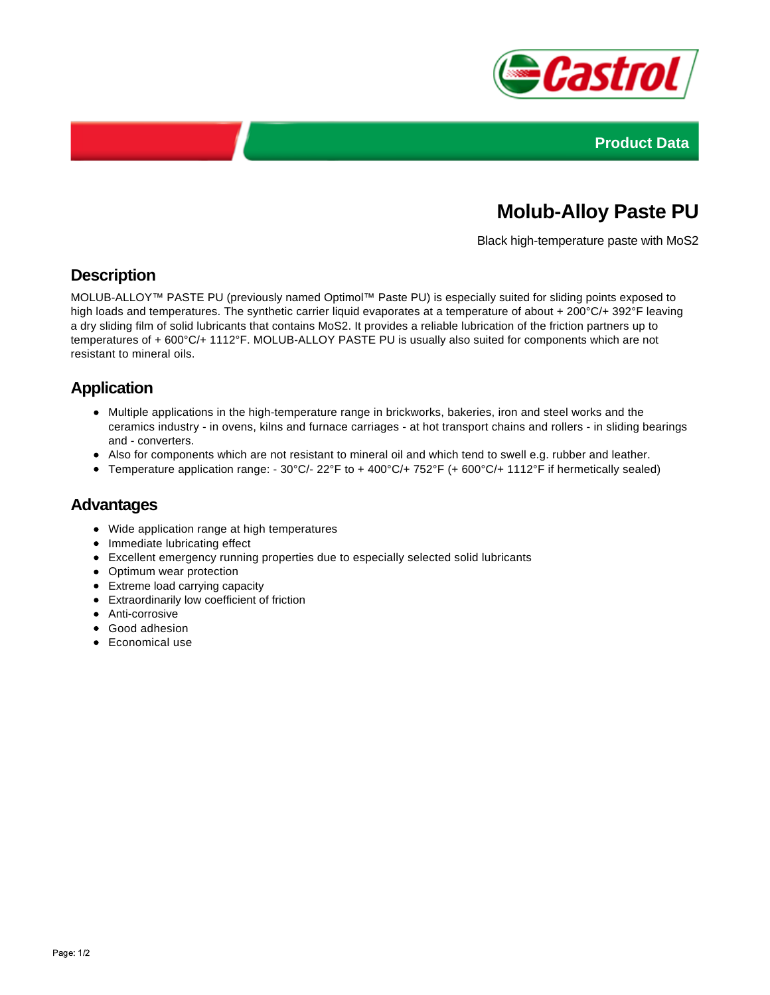



# **Molub-Alloy Paste PU**

Black high-temperature paste with MoS2

## **Description**

MOLUB-ALLOY™ PASTE PU (previously named Optimol™ Paste PU) is especially suited for sliding points exposed to high loads and temperatures. The synthetic carrier liquid evaporates at a temperature of about + 200°C/+ 392°F leaving a dry sliding film of solid lubricants that contains MoS2. It provides a reliable lubrication of the friction partners up to temperatures of + 600°C/+ 1112°F. MOLUB-ALLOY PASTE PU is usually also suited for components which are not resistant to mineral oils.

## **Application**

- Multiple applications in the high-temperature range in brickworks, bakeries, iron and steel works and the ceramics industry - in ovens, kilns and furnace carriages - at hot transport chains and rollers - in sliding bearings and - converters.
- Also for components which are not resistant to mineral oil and which tend to swell e.g. rubber and leather.
- Temperature application range: 30°C/- 22°F to + 400°C/+ 752°F (+ 600°C/+ 1112°F if hermetically sealed)

#### **Advantages**

- Wide application range at high temperatures
- Immediate lubricating effect
- Excellent emergency running properties due to especially selected solid lubricants
- Optimum wear protection
- Extreme load carrying capacity
- Extraordinarily low coefficient of friction
- Anti-corrosive
- Good adhesion
- Economical use